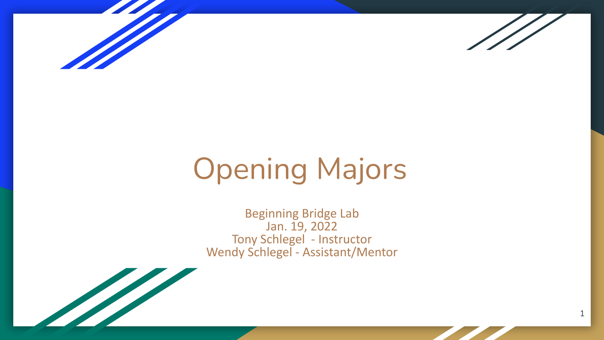



1

# Opening Majors

Beginning Bridge Lab Jan. 19, 2022 Tony Schlegel - Instructor Wendy Schlegel - Assistant/Mentor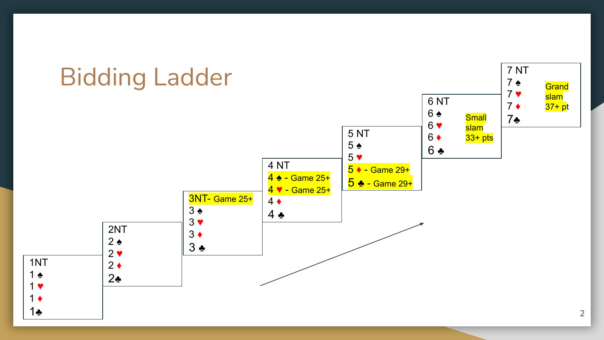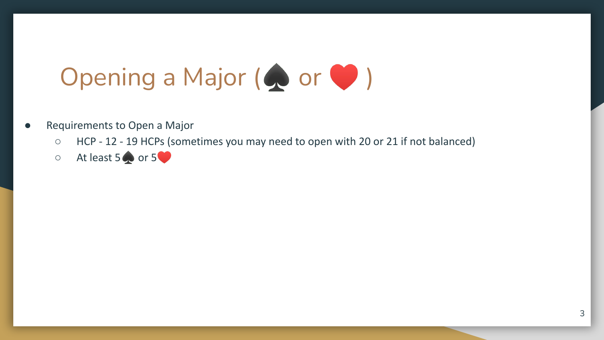# Opening a Major ( or  $\bullet$  )

- Requirements to Open a Major
	- HCP 12 19 HCPs (sometimes you may need to open with 20 or 21 if not balanced)
	- $\circ$  At least 5  $\bullet$  or 5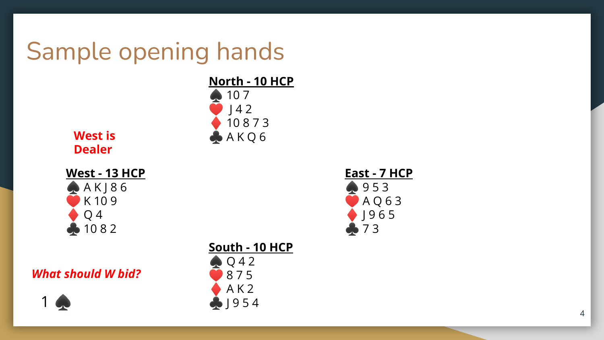## Sample opening hands



**West is Dealer**

#### **West - 13 HCP**  $A K 186$ K 10 9 Q 4  $1082$

#### *What should W bid?*





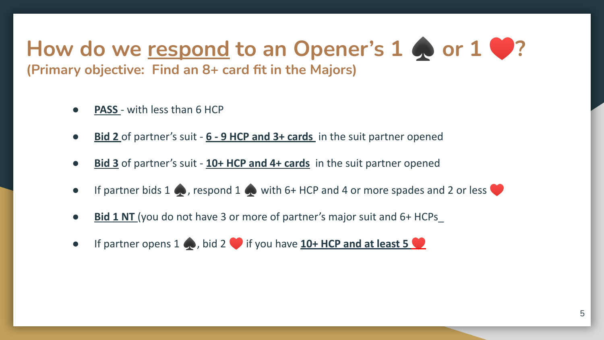### How do we respond to an Opener's 1 **♦** or 1 **♦**? **(Primary objective: Find an 8+ card fit in the Majors)**

- **PASS** with less than 6 HCP
- **Bid 2** of partner's suit 6 9 HCP and 3+ cards in the suit partner opened
- **Bid 3** of partner's suit 10+ HCP and 4+ cards in the suit partner opened
- If partner bids 1  $\bullet$ , respond 1  $\bullet$  with 6+ HCP and 4 or more spades and 2 or less
- **Bid 1 NT** (you do not have 3 or more of partner's major suit and 6+ HCPs
- If partner opens 1  $\bullet$ , bid 2 if you have **10+ HCP and at least 5**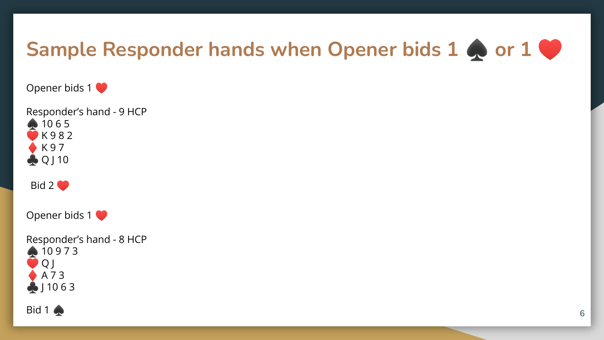### **Sample Responder hands when Opener bids 1 ♦ or 1 ♦**

Opener bids 1

Responder's hand - 9 HCP 10 6 5 K 9 8 2 K 9 7 Q J 10

Bid  $2$ 

Opener bids 1

Responder's hand - 8 HCP 10 9 7 3 Q J A 7 3  $\bigoplus$  | 1063

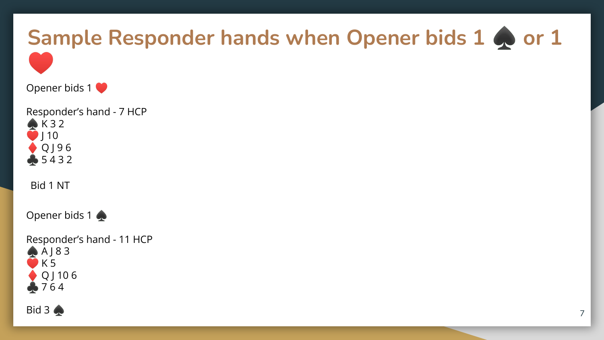

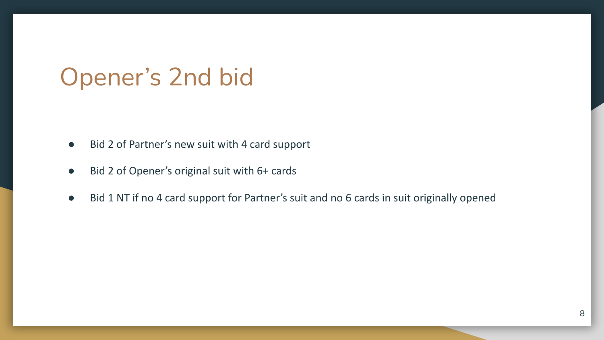### Opener's 2nd bid

- Bid 2 of Partner's new suit with 4 card support
- Bid 2 of Opener's original suit with 6+ cards
- Bid 1 NT if no 4 card support for Partner's suit and no 6 cards in suit originally opened